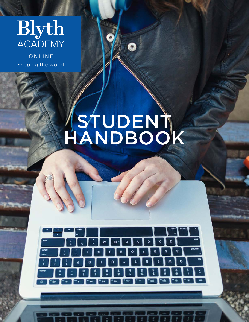

ONLINE Shaping the world

# STUDENT. HANDBOOK

 $|\mathcal{S}|$ 

According to the Contract of

ing personal personal personal personal personal personal personal personal personal personal personal persona<br>Personal personal personal personal personal personal personal personal personal personal personal personal p<br>P

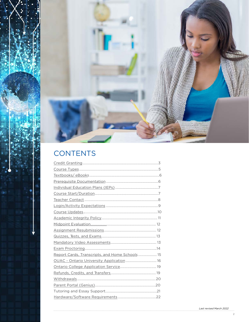

# CONTENTS

| Report Cards, Transcripts, and Home Schools 15 |  |
|------------------------------------------------|--|
| OUAC - Ontario University Application  16      |  |
|                                                |  |
|                                                |  |
|                                                |  |
|                                                |  |
|                                                |  |
|                                                |  |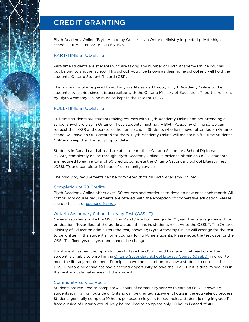### <span id="page-2-0"></span>CREDIT GRANTING

Blyth Academy Online (Blyth Academy Online) is an Ontario Ministry inspected private high school. Our MIDENT or BSID is 669675.

### PART-TIME STUDENTS

Part-time students are students who are taking any number of Blyth Academy Online courses but belong to another school. This school would be known as their home school and will hold the student's Ontario Student Record (OSR).

The home school is required to add any credits earned through Blyth Academy Online to the student's transcript since it is accredited with the Ontario Ministry of Education. Report cards sent by Blyth Academy Online must be kept in the student's OSR.

### FULL-TIME STUDENTS

Full-time students are students taking courses with Blyth Academy Online and not attending a school anywhere else in Ontario. These students must notify Blyth Academy Online so we can request their OSR and operate as the home school. Students who have never attended an Ontario school will have an OSR created for them. Blyth Academy Online will maintain a full-time student's OSR and keep their transcript up to date.

Students in Canada and abroad are able to earn their Ontario Secondary School Diploma (OSSD) completely online through Blyth Academy Online. In order to obtain an OSSD, students are required to earn a total of 30 credits, complete the Ontario Secondary School Literacy Test (OSSL T), and complete 40 hours of community service.

The following requirements can be completed through Blyth Academy Online:

#### Completion of 30 Credits

Blyth Academy Online offers over 160 courses and continues to develop new ones each month. All compulsory course requirements are offered, with the exception of cooperative education. Please see our full list of [course offerings.](https://blytheducation.com/blyth-academy-online/courses/)

#### Ontario Secondary School Literacy Test (OSSL T)

Generallystudents write the OSSL T in March/April of their grade 10 year. This is a requirement for graduation. Regardless of the grade a student joins in, students must write the OSSLT. The Ontario Ministry of Education administers the test, however; Blyth Academy Online will arrange for the test to be written in the student's home country for full-time students. Please note, the test date for the OSSL T is fixed year to year and cannot be changed.

If a student has had two opportunities to take the OSSLT and has failed it at least once, the student is eligible to enroll in the [Ontario Secondary School Literacy Course \(OSSLC\)](https://blytheducation.com/blyth-academy-online/courses/#english) in order to meet the literacy requirement. Principals have the discretion to allow a student to enroll in the OSSLC before he or she has had a second opportunity to take the OSSLT if it is determined it is in the best educational interest of the student.

#### Community Service Hours

Students are required to complete 40 hours of community service to earn an OSSD, however; students joining from outside of Ontario can be granted equivalent hours in the equivalency process. Students generally complete 10 hours per academic year; for example, a student joining in grade 11 from outside of Ontario would likely be required to complete only 20 hours instead of 40.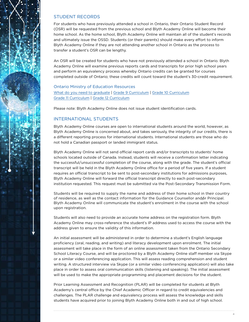

### STUDENT RECORDS

For students who have previously attended a school in Ontario, their Ontario Student Record (OSR) will be requested from the previous school and Blyth Academy Online will become their home school. As the home school, Blyth Academy Online will maintain all of the student's records and ultimately issue the OSSD. Students (or their parents) should make every effort to inform Blyth Academy Online if they are not attending another school in Ontario as the process to transfer a student's OSR can be lengthy.

An OSR will be created for students who have not previously attended a school in Ontario. Blyth Academy Online will examine previous reports cards and transcripts for prior high school years and perform an equivalency process whereby Ontario credits can be granted for courses completed outside of Ontario; these credits will count toward the student's 30-credit requirement.

#### Ontario Ministry of Education Resources [What do you need to graduate](http://www.edu.gov.on.ca/extra/eng/ppm/graduate.pdf) | [Grade 9 Curriculum](http://www.edu.gov.on.ca/eng/curriculum/secondary/grade9.html) | [Grade 10 Curriculum](http://www.edu.gov.on.ca/eng/curriculum/secondary/grade10.html) [Grade 11 Curriculum](http://www.edu.gov.on.ca/eng/curriculum/secondary/grade11.html) | [Grade 12 Curriculum](http://www.edu.gov.on.ca/eng/curriculum/secondary/grade12.html)

Please note: Blyth Academy Online does not issue student identification cards.

### INTERNATIONAL STUDENTS

Blyth Academy Online courses are open to international students around the world, however, as Blyth Academy Online is concerned about, and takes seriously, the integrity of our credits, there is a different reporting process for international students. International students are those who do not hold a Canadian passport or landed immigrant status.

Blyth Academy Online will not send official report cards and/or transcripts to students' home schools located outside of Canada. Instead, students will receive a confirmation letter indicating the successful/unsuccessful completion of the course, along with the grade. The student's official transcript will be held in the Blyth Academy Online office for a period of five years. If a student requires an official transcript to be sent to post-secondary institutions for admissions purposes, Blyth Academy Online will forward the official transcript directly to each post-secondary institution requested. This request must be submitted via the Post-Secondary Transmission Form.

Students will be required to supply the name and address of their home school in their country of residence, as well as the contact information for the Guidance Counsellor and or Principal. Blyth Academy Online will communicate the student's enrolment in the course with the school upon registration.

Students will also need to provide an accurate home address on the registration form. Blyth Academy Online may cross-reference the student's IP address used to access the course with the address given to ensure the validity of this information.

An initial assessment will be administered in order to determine a student's English language proficiency (oral, reading, and writing) and literacy development upon enrolment. The initial assessment will take place in the form of an online assessment taken from the Ontario Secondary School Literacy Course, and will be proctored by a Blyth Academy Online staff member via Skype or a similar video conferencing application. This will assess reading comprehension and student writing. A structured interview via Skype (or a similar video conferencing application) will also take place in order to assess oral communication skills (listening and speaking). The initial assessment will be used to make the appropriate programming and placement decisions for the student.

Prior Learning Assessment and Recognition (PLAR) will be completed for students at Blyth Academy's central office by the Chief Academic Officer in regard to credit equivalencies and challenges. The PLAR challenge and equivalency process will assess the knowledge and skills students have acquired prior to joining Blyth Academy Online both in and out of high school.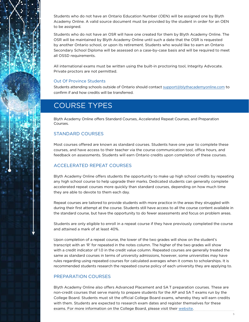<span id="page-4-0"></span>Students who do not have an Ontario Education Number (OEN) will be assigned one by Blyth Academy Online. A valid source document must be provided by the student in order for an OEN to be assigned.

Students who do not have an OSR will have one created for them by Blyth Academy Online. The OSR will be maintained by Blyth Academy Online until such a date that the OSR is requested by another Ontario school, or upon its retirement. Students who would like to earn an Ontario Secondary School Diploma will be assessed on a case-by-case basis and will be required to meet all OSSD requirements.

All international exams must be written using the built-in proctoring tool, Integrity Advocate. Private proctors are not permitted.

#### Out Of Province Students

Students attending schools outside of Ontario should contact [support@blythacademyonline.com](mailto:support%40blythacademyonline.com?subject=) to confirm if and how credits will be transferred.

# COURSE TYPES

Blyth Academy Online offers Standard Courses, Accelerated Repeat Courses, and Preparation Courses.

#### STANDARD COURSES

Most courses offered are known as standard courses. Students have one year to complete these courses, and have access to their teacher via the course communication tool, office hours, and feedback on assessments. Students will earn Ontario credits upon completion of these courses.

### ACCELERATED REPEAT COURSES

Blyth Academy Online offers students the opportunity to make up high school credits by repeating any high school course to help upgrade their marks. Dedicated students can generally complete accelerated repeat courses more quickly than standard courses, depending on how much time they are able to devote to them each day.

Repeat courses are tailored to provide students with more practice in the areas they struggled with during their first attempt at the course. Students still have access to all the course content available in the standard course, but have the opportunity to do fewer assessments and focus on problem areas.

Students are only eligible to enroll in a repeat course if they have previously completed the course and attained a mark of at least 40%.

Upon completion of a repeat course, the lower of the two grades will show on the student's transcript with an 'R' for repeated in the notes column. The higher of the two grades will show with a credit indicator of 1.0 in the credit value column. Repeated courses are generally treated the same as standard courses in terms of university admissions, however, some universities may have rules regarding using repeated courses for calculated averages when it comes to scholarships. It is recommended students research the repeated course policy of each university they are applying to.

#### PREPARATION COURSES

Blyth Academy Online also offers Advanced Placement and SA T preparation courses. These are non-credit courses that serve mainly to prepare students for the AP and SA T exams run by the College Board. Students must sit the official College Board exams, whereby they will earn credits with them. Students are expected to research exam dates and register themselves for these exams. For more information on the College Board, please visit their [website](http://www.collegeboard.org).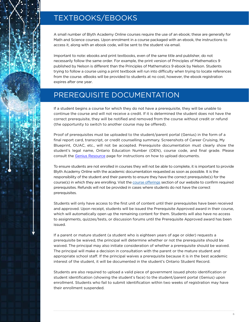# <span id="page-5-0"></span>TEXTBOOKS/EBOOKS

A small number of Blyth Academy Online courses require the use of an ebook; these are generally for Math and Science courses. Upon enrolment in a course packaged with an ebook, the instructions to access it, along with an ebook code, will be sent to the student via email.

Important to note: ebooks and print textbooks, even of the same title and publisher, do not necessarily follow the same order. For example, the print version of Principles of Mathematics 9 published by Nelson is different than the Principles of Mathematics 9 ebook by Nelson. Students trying to follow a course using a print textbook will run into difficulty when trying to locate references from the course. eBooks will be provided to students at no cost, however, the ebook registration expires after one year.

### PREREQUISITE DOCUMENTATION

If a student begins a course for which they do not have a prerequisite, they will be unable to continue the course and will not receive a credit. If it is determined the student does not have the correct prerequisite, they will be notified and removed from the course without credit or refund (the opportunity to switch to another course may be offered).

Proof of prerequisites must be uploaded to the student/parent portal (Genius) in the form of a final report card, transcript, or credit counselling summary. Screenshots of Career Cruising, My Blueprint, OUAC, etc., will not be accepted. Prerequisite documentation must clearly show the student's legal name, Ontario Education Number (OEN), course code, and final grade. Please consult t[he Genius Resource](https://blyth.brightspace.com/d2l/lor/viewer/view_private.d2l?ou=6606&loIdentId=127) page for instructions on how to upload documents.

To ensure students are not enrolled in courses they will not be able to complete, it is important to provide Blyth Academy Online with the academic documentation requested as soon as possible. It is the responsibility of the student and their parents to ensure they have the correct prerequisite(s) for the course(s) in which they are enrolling. Visit the [course offerings](https://blytheducation.com/blyth-academy-online/courses/) section of our website to confirm required prerequisites. Refunds will not be provided in cases where students do not have the correct prerequisites.

Students will only have access to the first unit of content until their prerequisites have been received and approved. Upon receipt, students will be issued the Prerequisite Approved award in their course, which will automatically open up the remaining content for them. Students will also have no access to assignments, quizzes/tests, or discussion forums until the Prerequisite Approved award has been issued.

If a parent or mature student (a student who is eighteen years of age or older) requests a prerequisite be waived, the principal will determine whether or not the prerequisite should be waived. The principal may also initiate consideration of whether a prerequisite should be waived. The principal will make a decision in consultation with the parent or the mature student and appropriate school staff. If the principal waives a prerequisite because it is in the best academic interest of the student, it will be documented in the student's Ontario Student Record.

Students are also required to upload a valid piece of government issued photo identification or student identification (showing the student's face) to the student/parent portal (Genius) upon enrollment. Students who fail to submit identification within two weeks of registration may have their enrollment suspended.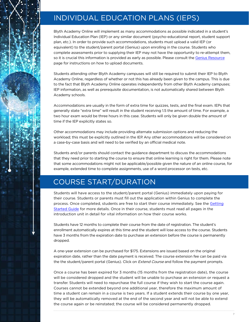# <span id="page-6-0"></span>INDIVIDUAL EDUCATION PLANS (IEPS)

Blyth Academy Online will implement as many accommodations as possible indicated in a student's Individual Education Plan (IEP) or any similar document (psycho-educational report, student support plan, etc.). In order to provide such accommodations, students must upload a valid IEP (or equivalent) to the student/parent portal (Genius) upon enrolling in the course. Students who complete assessments prior to supplying their IEP may not have the opportunity to re-attempt them, so it is crucial this information is provided as early as possible. Please consult th[e Genius Resource](Please consult the Genius Resource page for instructions on how to upload documents.) page for instructions on how to upload documents.

Students attending other Blyth Academy campuses will still be required to submit their IEP to Blyth Academy Online, regardless of whether or not this has already been given to the campus. This is due to the fact that Blyth Academy Online operates independently from other Blyth Academy campuses; IEP information, as well as prerequisite documentation, is not automatically shared between Blyth Academy schools.

Accommodations are usually in the form of extra time for quizzes, tests, and the final exam. IEPs that generally state "extra time" will result in the student receiving 1.5 the amount of time. For example, a two hour exam would be three hours in this case. Students will only be given double the amount of time if the IEP explicitly states so.

Other accommodations may include providing alternate submission options and reducing the workload; this must be explicitly outlined in the IEP. Any other accommodations will be considered on a case-by-case basis and will need to be verified by an official medical note.

Students and/or parents should contact the guidance department to discuss the accommodations that they need prior to starting the course to ensure that online learning is right for them. Please note that some accommodations might not be applicable/possible given the nature of an online course, for example, extended time to complete assignments, use of a word processor on tests, etc.

# COURSE START/DURATION

Students will have access to the student/parent portal (Genius) immediately upon paying for their course. Students or parents must fill out the application within Genius to complete the process. Once completed, students are free to start their course immediately. See the Getting [Started Guide](https://blyth.brightspace.com/d2l/lor/viewer/view_private.d2l?ou=6606&loIdentId=124) for more details. Once in their course, students must read all pages in the introduction unit in detail for vital information on how their course works.

Students have 12 months to complete their course from the date of registration. The student's enrollment automatically expires at this time and the student will lose access to the course. Students have 3 months from the expiration date to purchase an extension before the course is permanently dropped.

A one-year extension can be purchased for \$175. Extensions are issued based on the original expiration date, rather than the date payment is received. The course extension fee can be paid via the the student/parent portal (Genius). Click on *Extend Course* and follow the payment prompts.

Once a course has been expired for 3 months (15 months from the registration date), the course will be considered dropped and the student will be unable to purchase an extension or request a transfer. Students will need to repurchase the full course if they wish to start the course again. Courses cannot be extended beyond one additional year, therefore the maximum amount of time a student can remain in a course is two years. If a student extends their course by one year, they will be automatically removed at the end of the second year and will not be able to extend the course again or be reinstated; the course will be considered permanently dropped.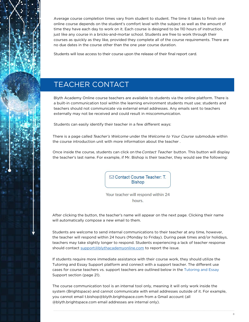<span id="page-7-0"></span>Average course completion times vary from student to student. The time it takes to finish one online course depends on the student's comfort level with the subject as well as the amount of time they have each day to work on it. Each course is designed to be 110 hours of instruction, just like any course in a bricks-and-mortar school. Students are free to work through their courses as quickly as they like, provided they complete all of the course requirements. There are no due dates in the course other than the one year course duration.

Students will lose access to their course upon the release of their final report card.

# TEACHER CONTACT

Blyth Academy Online course teachers are available to students via the online platform. There is a built-in communication tool within the learning environment students must use; students and teachers should not communicate via external email addresses. Any emails sent to teachers externally may not be received and could result in miscommunication.

Students can easily identify their teacher in a few different ways:

There is a page called Teacher's Welcome under the Welcome to Your Course submodule within the course introduction unit with more information about the teacher .

Once inside the course, students can click on the Contact Teacher button. This button will display the teacher's last name. For example, if Mr. Bishop is their teacher, they would see the following:

> ○ Contact Course Teacher: T. **Bishop**

Your teacher will respond within 24 hours.

After clicking the button, the teacher's name will appear on the next page. Clicking their name will automatically compose a new email to them.

Students are welcome to send internal communications to their teacher at any time, however, the teacher will respond within 24 hours (Monday to Friday). During peak times and/or holidays, teachers may take slightly longer to respond. Students experiencing a lack of teacher response should contact support@blythacademyonline.com to report the issue.

If students require more immediate assistance with their course work, they should utilize the Tutoring and Essay Support platform and connect with a support teacher. The different use cases for course teachers vs. support teachers are outlined below in the [Tutoring and Essay](#page-20-0) Support section (page 21).

The course communication tool is an internal tool only, meaning it will only work inside the system (Brightspace) and cannot communicate with email addresses outside of it. For example, you cannot email t.bishop@blyth.brightspace.com from a Gmail account (all @blyth.brightspace.com email addresses are internal only).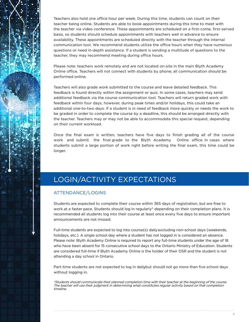<span id="page-8-0"></span>

Teachers also hold one office hour per week. During this time, students can count on their teacher being online. Students are able to book appointments during this time to meet with the teacher via video conference. These appointments are scheduled on a first-come, first-served basis, so students should schedule appointments with teachers well in advance to ensure availability. These appointments are scheduled directly with the teacher through the internal communication tool. We recommend students utilize the office hours when they have numerous questions or need in-depth assistance. If a student is sending a multitude of questions to the teacher, they may recommend meeting during office hours.

Please note: teachers work remotely and are not located on-site in the main Blyth Academy Online office. Teachers will not connect with students by phone; all communication should be performed online.

Teachers will also grade work submitted to the course and leave detailed feedback. This feedback is found directly within the assignment or quiz. In some cases, teachers may send additional feedback via the course communication tool. Teachers will return graded work with feedback within four days, however, during peak times and/or holidays, this could take an additional one-to-two days. If a student is in need of feedback more quickly or needs the work to be graded in order to complete the course by a deadline, this should be arranged directly with the teacher. Teachers may or may not be able to accommodate this special request, depending on their current workload.

Once the final exam is written, teachers have five days to finish grading all of the course work and submit the final grade to the Blyth Academy Online office. In cases where students submit a large portion of work right before writing the final exam, this time could be longer.

# LOGIN/ACTIVITY EXPECTATIONS

### ATTENDANCE/LOGINS

Students are expected to complete their course within 365 days of registration, but are free to work at a faster pace. Students should log in regularly\* depending on their completion plans. It is recommended all students log into their course at least once every five days to ensure important announcements are not missed.

Full-time students are expected to log into course(s) daily excluding non-school days (weekends, holidays, etc.). A single school day where a student has not logged in is considered an absence. Please note: Blyth Academy Online is required to report any full-time students under the age of 18 who have been absent for 15 consecutive school days to the Ontario Ministry of Education. Students are considered full-time if Blyth Academy Online is the holder of their OSR and the student is not attending a day school in Ontario.

Part-time students are not expected to log in dailybut should not go more than five school days without logging in.

\*Students should communicate their planned completion time with their teacher at the beginning of the course. The teacher will use their judgment in determining what constitutes regular activity based on that completion timeline.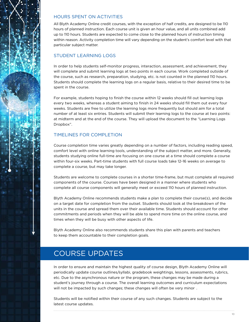<span id="page-9-0"></span>

### HOURS SPENT ON ACTIVITIES

All Blyth Academy Online credit courses, with the exception of half credits, are designed to be 110 hours of planned instruction. Each course unit is given an hour value, and all units combined add up to 110 hours. Students are expected to come close to the planned hours of instruction timing within reason. Activity completion time will vary depending on the student's comfort level with that particular subject matter.

### STUDENT LEARNING LOGS

In order to help students self-monitor progress, interaction, assessment, and achievement, they will complete and submit learning logs at two points in each course. Work completed outside of the course, such as research, preparation, studying, etc. is not counted in the planned 110 hours. Students should complete the learning logs on a regular basis, relative to their desired time to be spent in the course.

For example, students hoping to finish the course within 12 weeks should fill out learning logs every two weeks, whereas a student aiming to finish in 24 weeks should fill them out every four weeks. Students are free to utilize the learning logs more frequently but should aim for a total number of at least six entries. Students will submit their learning logs to the course at two points: at midterm and at the end of the course. They will upload the document to the "Learning Logs Dropbox".

### TIMELINES FOR COMPLETION

Course completion time varies greatly depending on a number of factors, including reading speed, comfort level with online learning tools, understanding of the subject matter, and more. Generally, students studying online full-time are focusing on one course at a time should complete a course within four-six weeks. Part-time students with full course loads take 12-16 weeks on average to complete a course, but may take longer.

Students are welcome to complete courses in a shorter time-frame, but must complete all required components of the course. Courses have been designed in a manner where students who complete all course components will generally meet or exceed 110 hours of planned instruction.

Blyth Academy Online recommends students make a plan to complete their course(s), and decide on a target date for completion from the outset. Students should look at the breakdown of the units in the course and spread them over their available time. Students should account for other commitments and periods when they will be able to spend more time on the online course, and times when they will be busy with other aspects of life.

Blyth Academy Online also recommends students share this plan with parents and teachers to keep them accountable to their completion goals.

# COURSE UPDATES

In order to ensure and maintain the highest quality of course design, Blyth Academy Online will periodically update course outlines/syllabi, gradebook weightings, lessons, assessments, rubrics, etc. Due to the asynchronous nature or the program, these changes may be made during a student's journey through a course. The overall learning outcomes and curriculum expectations will not be impacted by such changes; these changes will often be very minor .

Students will be notified within their course of any such changes. Students are subject to the latest course updates.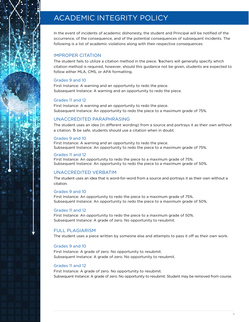# <span id="page-10-0"></span>ACADEMIC INTEGRITY POLICY

In the event of incidents of academic dishonesty, the student and Principal will be notified of the occurrence, of the consequence, and of the potential consequences of subsequent incidents. The following is a list of academic violations along with their respective consequences:

### IMPROPER CITATION

The student fails to utilize a citation method in the piece. Teachers will generally specify which citation method is required, however, should this guidance not be given, students are expected to follow either MLA, CMS, or APA formatting.

#### Grades 9 and 10

First Instance: A warning and an opportunity to redo the piece. Subsequent Instance: A warning and an opportunity to redo the piece.

#### Grades 11 and 12

First Instance: A warning and an opportunity to redo the piece. Subsequent Instance: An opportunity to redo the piece to a maximum grade of 75%.

#### UNACCREDITED PARAPHRASING

The student uses an idea (in different wording) from a source and portrays it as their own without a citation. To be safe, students should use a citation when in doubt.

#### Grades 9 and 10

First Instance: A warning and an opportunity to redo the piece. Subsequent Instance: An opportunity to redo the piece to a maximum grade of 75%.

#### Grades 11 and 12

First Instance: An opportunity to redo the piece to a maximum grade of 75%. Subsequent Instance: An opportunity to redo the piece to a maximum grade of 50%.

#### UNACCREDITED VERBATIM

The student uses an idea that is word-for-word from a source and portrays it as their own without a citation.

#### Grades 9 and 10

First Instance: An opportunity to redo the piece to a maximum grade of 75%. Subsequent Instance: An opportunity to redo the piece to a maximum grade of 50%.

#### Grades 11 and 12

First Instance: An opportunity to redo the piece to a maximum grade of 50%. Subsequent Instance: A grade of zero. No opportunity to resubmit.

#### FULL PLAGIARISM

The student uses a piece written by someone else and attempts to pass it off as their own work.

#### Grades 9 and 10

First Instance: A grade of zero. No opportunity to resubmit. Subsequent Instance: A grade of zero. No opportunity to resubmit.

#### Grades 11 and 12

First Instance: A grade of zero. No opportunity to resubmit. Subsequent Instance: A grade of zero. No opportunity to resubmit. Student may be removed from course.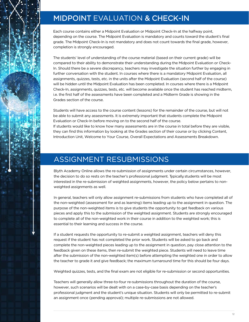# <span id="page-11-0"></span>MIDPOINT EVALUATION & CHECK-IN

Each course contains either a Midpoint Evaluation or Midpoint Check-In at the halfway point, depending on the course. The Midpoint Evaluation is mandatory and counts toward the student's final grade. The Midpoint Check-In is not mandatory and does not count towards the final grade, however, completion is strongly encouraged.

The students' level of understanding of the course material (based on their current grade) will be compared to their ability to demonstrate their understanding during the Midpoint Evaluation or Check-In. Should there be a severe discrepancy, teachers may investigate the situation further by engaging in further conversation with the student. In courses where there is a mandatory Midpoint Evaluation, all assignments, quizzes, tests, etc. in the units after the Midpoint Evaluation (second half of the course) will be hidden until the Midpoint Evaluation has been completed. In courses where there is a Midpoint Check-In, assignments, quizzes, tests, etc. will become available once the student has reached midterm, i.e. the first half of the assessments have been completed and a Midterm Grade is showing in the Grades section of the course.

Students will have access to the course content (lessons) for the remainder of the course, but will not be able to submit any assessments. It is extremely important that students complete the Midpoint Evaluation or Check-In before moving on to the second half of the course.

If students would like to know how many assessments are in the course in total before they are visible, they can find this information by looking at the Grades section of their course or by clicking Content, Introduction Unit, Welcome to Your Course, Overall Expectations and Assessments Breakdown.

### ASSIGNMENT RESUBMISSIONS

Blyth Academy Online allows the re-submission of assignments under certain circumstances, however, the decision to do so rests on the teacher's professional judgment. Typically students will be most interested in the re-submission of weighted assignments, however, the policy below pertains to nonweighted assignments as well.

In general, teachers will only allow assignment re-submissions from students who have completed all of the non-weighted (assessment for and as learning) items leading up to the assignment in question. The purpose of the non-weighted items is to give students the opportunity to get feedback on various pieces and apply this to the submission of the weighted assignment. Students are strongly encouraged to complete all of the non-weighted work in their course in addition to the weighted work; this is essential to their learning and success in the course.

If a student requests the opportunity to re-submit a weighted assignment, teachers will deny this request if the student has not completed the prior work. Students will be asked to go back and complete the non-weighted pieces leading up to the assignment in question, pay close attention to the feedback given on these items, then re-submit the weighted piece. Students will need to leave time after the submission of the non-weighted item(s) before attempting the weighted one in order to allow the teacher to grade it and give feedback; the maximum turnaround time for this should be four days.

Weighted quizzes, tests, and the final exam are not eligible for re-submission or second opportunities.

Teachers will generally allow three-to-four re-submissions throughout the duration of the course, however, such scenarios will be dealt with on a case-by-case basis depending on the teacher's professional judgment and the student's unique situation. Students will only be permitted to re-submit an assignment once (pending approval); multiple re-submissions are not allowed.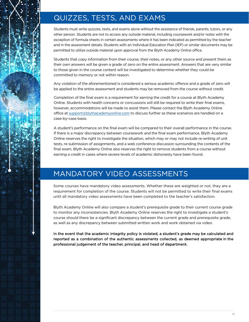# <span id="page-12-0"></span>QUIZZES, TESTS, AND EXAMS

Students must write quizzes, tests, and exams alone without the assistance of friends, parents, tutors, or any other person. Students are not to access any outside material, including coursework and/or notes with the exception of formula sheets in certain assessments where it has been indicated as permitted by the teacher and in the assessment details. Students with an Individual Education Plan (IEP) or similar documents may be permitted to utilize outside material upon approval from the Blyth Academy Online office.

Students that copy information from their course, their notes, or any other source and present them as their own answers will be given a grade of zero on the entire assessment. Answers that are very similar to those given in the course content will be investigated to determine whether they could be committed to memory or not within reason.

Any violation of the aforementioned is considered a serious academic offence and a grade of zero will be applied to the entire assessment and students may be removed from the course without credit.

Completion of the final exam is a requirement for earning the credit for a course at Blyth Academy Online. Students with health concerns or concussions will still be required to write their final exams, however, accommodations will be made to assist them. Please contact the Blyth Academy Online office at [support@blythacademyonline.com](mailto:support%40blythacademyonline.com?subject=) to discuss further as these scenarios are handled on a case-by-case basis.

A student's performance on the final exam will be compared to their overall performance in the course. If there is a major discrepancy between coursework and the final exam performance, Blyth Academy Online reserves the right to investigate the situation, which may or may not include re-writing of unit tests, re-submission of assignments, and a web conference discussion surrounding the contents of the final exam. Blyth Academy Online also reserves the right to remove students from a course without earning a credit in cases where severe levels of academic dishonesty have been found.

### MANDATORY VIDEO ASSESSMENTS

Some courses have mandatory video assessments. Whether these are weighted or not, they are a requirement for completion of the course. Students will not be permitted to write their final exams until all mandatory video assessments have been completed to the teacher's satisfaction.

Blyth Academy Online will also compare a student's prerequisite grade to their current course grade to monitor any inconsistencies. Blyth Academy Online reserves the right to investigate a student's course should there be a significant discrepancy between the current grade and prerequisite grade, as well as any discrepancy between submitted written work and work obtained via video.

In the event that the academic integrity policy is violated, a student's grade may be calculated and reported as a combination of the authentic assessments collected, as deemed appropriate in the professional judgement of the teacher, principal, and head of department.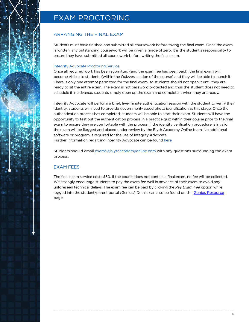### <span id="page-13-0"></span>EXAM PROCTORING

### ARRANGING THE FINAL EXAM

Students must have finished and submitted all coursework before taking the final exam. Once the exam is written, any outstanding coursework will be given a grade of zero. It is the student's responsibility to ensure they have submitted all coursework before writing the final exam.

#### Integrity Advocate Proctoring Service

Once all required work has been submitted (and the exam fee has been paid), the final exam will become visible to students (within the Quizzes section of the course) and they will be able to launch it. There is only one attempt permitted for the final exam, so students should not open it until they are ready to sit the entire exam. The exam is not password protected and thus the student does not need to schedule it in advance; students simply open up the exam and complete it when they are ready.

Integrity Advocate will perform a brief, five-minute authentication session with the student to verify their identity; students will need to provide government-issued photo identification at this stage. Once the authentication process has completed, students will be able to start their exam. Students will have the opportunity to test out the authentication process in a practice quiz within their course prior to the final exam to ensure they are comfortable with the process. If the identity verification procedure is invalid, the exam will be flagged and placed under review by the Blyth Academy Online team. No additional software or program is required for the use of Integrity Advocate. Further information regarding Integrity Advocate can be found [here](https://integrityadvocate.com/).

Students should email [exams@blythacademyonline.com](mailto:exams%40blythacademyonline.com?subject=) with any questions surrounding the exam process.

### EXAM FEES

The final exam service costs \$30. If the course does not contain a final exam, no fee will be collected. We strongly encourage students to pay the exam fee well in advance of their exam to avoid any unforeseen technical delays. The exam fee can be paid by clicking the Pay Exam Fee option while logged into the student/parent portal (Genius.) Details can also be found on the [Genius Resource](https://blyth.brightspace.com/d2l/lor/viewer/view_private.d2l?ou=6606&loIdentId=127) page.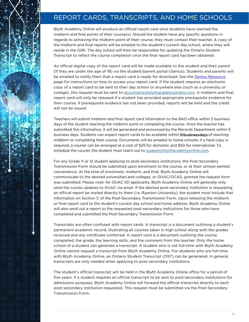### <span id="page-14-0"></span>REPORT CARDS, TRANSCRIPTS, AND HOME SCHOOLS

Blyth Academy Online will produce an official report card once students have reached the midterm and final points of their course(s). Should the student have any specific questions in regards to achieving the midterm point of their course, they must contact their teacher. A copy of the midterm and final reports will be emailed to the student's current day school, where they will reside in the OSR. The day school will then be responsible for updating the Ontario Student Transcript to reflect the course completion once the final report card has been obtained.

An official digital copy of the report card will be made available to the student and their parent (if they are under the age of 18) via the student/parent portal (Genius). Students and parents will be emailed to notify them that a report card is ready for download. See the [Genius Resource](https://blyth.brightspace.com/d2l/lor/viewer/view_private.d2l?ou=6606&loIdentId=127) page for instructions on how to access your report card. If the student requires an electronic copy of a report card to be sent to their day school or anywhere else (such as a university or college), this request must be sent to [documents@blythacademyonline.com.](mailto:documents%40blythacademyonline.com?subject=) A midterm and final report card will only be released if a student has provided appropriate prerequisite evidence for their course. If prerequisite evidence has not been provided, reports will be held and the credit will not be issued.

Teachers will submit midterm and final report card information to the BAO office within 5 business days of the student reaching the midterm point or completing the course. Once the teacher has submitted this information, it will be generated and processed by the Records Department within 5 business days. Students can expect report cards to be available within **10 business days** of reaching midterm or completing their course. Documents will be emailed to home schools; if a hard copy is required, a courier can be arranged at a cost of \$25 for domestic and \$50 for international. To schedule the courier, the student must reach out to [support@blythacademyonline.com.](mailto:support%40blythacademyonline.com?subject=)

For any Grade 11 or 12 student applying to post-secondary institutions, the Post-Secondary Transmission Form should be submitted upon enrolment to the course, or at their utmost earliest convenience. At the time of enrolment, midterm, and final, Blyth Academy Online will communicate to the desired universities and colleges, or OUAC/OCAS, granted the request form was submitted. Please note: for OUAC 101 applicants, Blyth Academy Online will generally only send the course updates to OUAC via email. If the desired post-secondary institution is requesting an official report be mailed directly to them (i.e. Ryerson University), the student must include that information on Section C of the Post-Secondary Transmission Form. Upon releasing the midterm or final report card to the student's current day school and home address, Blyth Academy Online will also send out a report to the requested post-secondary institutions for those who have completed and submitted the Post-Secondary Transmission Form.

Transcripts are often confused with report cards. A transcript is a document outlining a student's permanent academic record, illustrating all courses taken in high school along with the grades received and any certificate conferred. A report card is a document outlining the course completed, the grade, the learning skills, and the comment from the teacher. Only the home school of a student can generate a transcript. A student who is not full-time with Blyth Academy Online cannot request a transcript from Blyth Academy Online. For students who are full-time with Blyth Academy Online, an Ontario Student Transcript (OST) can be generated. In general, transcripts are only needed when applying to post-secondary institutions.

The student's official transcript will be held in the Blyth Academy Online office for a period of five years. If a student requires an official transcript to be sent to post-secondary institutions for admissions purposes, Blyth Academy Online will forward the official transcript directly to each post-secondary institution requested. This request must be submitted via the Post-Secondary Transmission Form.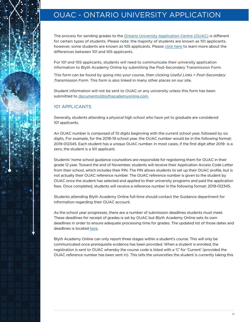# <span id="page-15-0"></span>OUAC - ONTARIO UNIVERSITY APPLICATION

The process for sending grades to the [Ontario University Application Centre \(OUAC\)](https://www.ouac.on.ca/) is different for certain types of students. Please note: the majority of students are known as 101 applicants, however, some students are known as 105 applicants. Please [click here](http://www.electronicinfo.ca/announcements/announcements/) to learn more about the differences between 101 and 105 applicants.

For 101 and 105 applicants, students will need to communicate their university application information to Blyth Academy Online by submitting the Post-Secondary Transmission Form.

This form can be found by going into your course, then clicking Useful Links > Post-Secondary Transmission Form. This form is also linked in many other places on our site.

Student information will not be sent to OUAC or any university unless this form has been submitted to [documents@blythacademyonline.com](mailto:documents%40blythacademyonline.com?subject=).

#### 101 APPLICANTS

Generally, students attending a physical high school who have yet to graduate are considered 101 applicants.

An OUAC number is composed of 10 digits beginning with the current school year, followed by six digits. For example, for the 2018-19 school year, the OUAC number would be in the following format: 2019-012345. Each student has a unique OUAC number. In most cases, if the first digit after 2019- is a zero, the student is a 101 applicant.

Students' home school guidance counsellors are responsible for registering them for OUAC in their grade 12 year. Toward the end of November, students will receive their Application Access Code Letter from their school, which includes their PIN. The PIN allows students to set up their OUAC profile, but is not actually their OUAC reference number. The OUAC reference number is given to the student by OUAC once the student has selected and applied to their university programs and paid the application fees. Once completed, students will receive a reference number in the following format: 2019-012345.

Students attending Blyth Academy Online full-time should contact the Guidance department for information regarding their OUAC account.

As the school year progresses, there are a number of submission deadlines students must meet. These deadlines for receipt of grades is set by OUAC but Blyth Academy Online sets its own deadlines in order to ensure adequate processing time for grades. The updated list of those dates and deadlines is located [here](https://blytheducation.com/blyth-academy-online/ouac-graduation-process/).

Blyth Academy Online can only report three stages within a student's course. This will only be communicated once prerequisite evidence has been provided. When a student is enrolled, the registration is sent to OUAC whereby the course code is listed with a 'C' for 'Current' (provided the OUAC reference number has been sent in). This tells the universities the student is currently taking this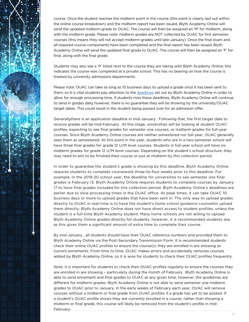

course. Once the student reaches the midterm point in the course (this point is clearly laid out within the online course breakdown) and the midterm report has been issued, Blyth Academy Online will send the updated midterm grade to OUAC. The course will then be assigned an 'M' for midterm, along with the midterm grade. Please note: midterm grades are NOT collected by OUAC for first semester courses (this means they will not accept midterm grades until late-January). Once the final exam and all required course components have been completed and the final report has been issued, Blyth Academy Online will send the updated final grade to OUAC. The course will then be assigned an 'F' for final, along with the final grade.

Students may also see a 'P' listed next to the course they are taking with Blyth Academy Online; this indicates the course was completed at a private school. This has no bearing on how the course is treated by university admissions departments.

Please note: OUAC can take as long as 10 business days to upload a grade once it has been sent to them, so it is vital students pay attention to the [deadlines](https://blytheducation.com/blyth-academy-online/ouac-graduation-process/) set out by Blyth Academy Online in order to allow for enough processing time. If students miss these deadlines, Blyth Academy Online will continue to send in grades daily, however, there is no guarantee they will be showing by the university/OUAC target dates. This could result in the student being passed over for an admission offer.

Generallythere is an application deadline in mid-January . Following that, the first target date to receive grades will be mid-February . At this stage, universities will be looking at student OUAC profiles, expecting to see final grades for semester one courses, or midterm grades for full-year courses. Since Blyth Academy Online courses are neither semestered nor full-year, OUAC generally sees them as semestered. At this point in the year, students who are in a two-semester school will have three final grades for grade 12 U/M level courses. Students in full-year school will have six midterm grades for grade 12 U/M level courses. Depending on the student's school structure, they may need to aim to be finished their course or just at midterm by this collection period.

In order to guarantee the student's grade is showing by this deadline, Blyth Academy Online requires students to complete coursework three-to-four weeks prior to this deadline. For example, in the 2019-20 school year, the deadline for universities to see semester one final grades is February 13. Blyth Academy Online requires students to complete courses by January 17 to have final grades included for this collection period. Blyth Academy Online's deadlines are earlier due to slow processing times in the OUAC office. At peak times, it can take OUAC 10 business days or more to upload grades that have been sent in. The only way to upload grades directly to OUAC in real-time is to have the student's home school guidance counsellor upload them directly; Blyth Academy Online does not have direct access to student profiles, unless the student is a full-time Blyth Academy student. Many home schools are not willing to upload Blyth Academy Online grades directly for students, however, it is recommended students ask, as this gives them a significant amount of extra time to complete their course.

By mid-January , all students should have their OUAC reference numbers and provided them to Blyth Academy Online via the Post-Secondary Transmission Form. It is recommended students check their online OUAC profiles to ensure the course(s) they are enrolled in are showing as current enrolments. From time to time, OUAC makes errors and accidentally removes courses added by Blyth Academy Online, so it is wise for students to check their OUAC profiles frequently.

Note: it is important for students to check their OUAC profiles regularly to ensure the courses they are enrolled in are showing – particularly during the month of February . Blyth Academy Online is able to send enrolment and final grades to OUAC at any given time, however, the guidelines are different for midterm grades. Blyth Academy Online is not able to send semester one midterm grades to OUAC prior to January. In the early weeks of February each year, OUAC will remove courses without a midterm or final grade from OUAC profiles if a grade has yet to be posted. If a student's OUAC profile shows they are currently enrolled in a course, rather than showing a midterm or final grade, this course will likely be removed from the student's profile in mid-February .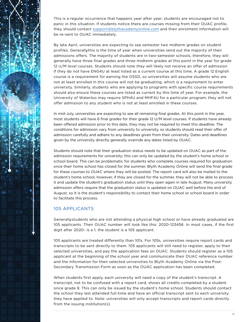This is a regular occurrence that happens year after year; students are encouraged not to panic in this situation. If students notice there are courses missing from their OUAC profile, they should contact [support@blythacademyonline.com](mailto:support%40blythacademyonline.com?subject=) and their enrolment information will be re-sent to OUAC immediately.

By late April, universities are expecting to see semester two midterm grades on student profiles. Generally this is the time of year when universities send out the majority of their admissions offers. The majority of students are in two-semester schools, therefore, they will generally have three final grades and three midterm grades at this point in the year for grade 12 U/M level courses. Students should note they will likely not receive an offer of admission if they do not have ENG4U at least listed as a current course at this time. A grade 12 English course is a requirement for earning the OSSD, so universities will assume students who are not at least enrolled in this course will not be graduating, which is a requirement to enter university. Similarly, students who are applying to programs with specific course requirements should also ensure these courses are listed as current by this time of year. For example, the University of Waterloo may require SPH4U and MHF4U for a particular program; they will not offer admission to any student who is not at least enrolled in these courses.

In mid-July, universities are expecting to see all remaining final grades. At this point in the year, most students will have 6 final grades for their grade 12 U/M level courses. If students have already been offered admission prior to this date, they may not be required to meet this deadline. The conditions for admission vary from university to university, so students should read their offer of admission carefully and adhere to any deadlines given from their university. Dates and deadlines given by the university directly generally override any dates listed by OUAC.

Students should note that their graduation status needs to be updated on OUAC as part of the admission requirements for university; this can only be updated by the student's home school or school board. This can be problematic for students who complete courses required for graduation once their home school has closed for the summer. Blyth Academy Online will send the final grade for these courses to OUAC where they will be posted. The report card will also be mailed to the student's home school, however, if they are closed for the summer, they will not be able to process it and update the student's graduation status until they open again in late August. Many university admission offers require that the graduation status is updated on OUAC well before the end of August, so it is the student's responsibility to contact their home school or school board in order to facilitate this process.

### 105 APPLICANTS

Generallystudents who are not attending a physical high school or have already graduated are 105 applicants. Their OUAC number will look like this: 2020-123456. In most cases, if the first digit after 2020- is a 1, the student is a 105 applicant.

105 applicants are treated differently than 101s. For 105s, universities require report cards and transcripts to be sent directly to them. 105 applicants will still need to register, apply to their selected universities, and pay the application fees on OUAC. Students should register as a 105 applicant at the beginning of the school year and communicate their OUAC reference number and the information for their selected universities to Blyth Academy Online via the Post-Secondary Transmission Form as soon as the OUAC application has been completed.

When students first apply, each university will need a copy of the student's transcript. A transcript, not to be confused with a report card, shows all credits completed by a student since grade 9. This can only be issued by the student's home school. Students should contact the school they last attended full-time and have an official transcript sent to each university they have applied to. Note: universities will only accept transcripts and report cards directly from the issuing institution(s).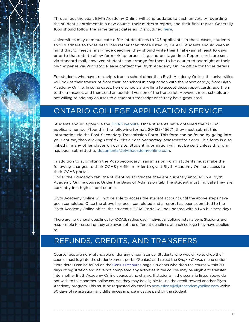<span id="page-18-0"></span>Throughout the year, Blyth Academy Online will send updates to each university regarding the student's enrolment in a new course, their midterm report, and their final report. Generally 105s should follow the same target dates as 101s outlined [here](https://blytheducation.com/blyth-academy-online/ouac-graduation-process/).

Universities may communicate different deadlines to 105 applicants; in these cases, students should adhere to those deadlines rather than those listed by OUAC. Students should keep in mind that to meet a final grade deadline, they should write their final exam at least 10 days prior to that date to allow for marking, processing, and postage time. Report cards are sent via standard mail, however, students can arrange for them to be couriered overnight at their own expense via Purolator. Please contact the Blyth Academy Online office for those details.

For students who have transcripts from a school other than Blyth Academy Online, the universities will look at their transcript from their last school in conjunction with the report card(s) from Blyth Academy Online. In some cases, home schools are willing to accept these report cards, add them to the transcript, and then send an updated version of the transcript. However, most schools are not willing to add any courses to a student's transcript once they have graduated.

### ONTARIO COLLEGE APPLICATION SERVICE

Students should apply via the [OCAS website](https://www.ontariocolleges.ca/en). Once students have obtained their OCAS applicant number (found in the following format: 20-123-4567), they must submit this information via the Post-Secondary Transmission Form. This form can be found by going into your course, then clicking Useful Links > Post-Secondary Transmission Form. This form is also linked in many other places on our site. Student information will not be sent unless this form has been submitted to [documents@blythacademyonline.com](mailto:documents%40blythacademyonline.com?subject=).

In addition to submitting the Post-Secondary Transmission Form, students must make the following changes to their OCAS profile in order to grant Blyth Academy Online access to their OCAS portal:

Under the Education tab, the student must indicate they are currently enrolled in a Blyth Academy Online course. Under the Basis of Admission tab, the student must indicate they are currently in a high school course.

Blyth Academy Online will not be able to access the student account until the above steps have been completed. Once the above has been completed and a report has been submitted to the Blyth Academy Online office, the student's OCAS Portal will be updated within two business days.

There are no general deadlines for OCAS, rather, each individual college lists its own. Students are responsible for ensuring they are aware of the different deadlines at each college they have applied to.

### REFUNDS, CREDITS, AND TRANSFERS

Course fees are non-refundable under any circumstance. Students who would like to drop their course must log into the student/parent portal (Genius) and select the Drop a Course menu option. More details can be found on the [Genius Resource](https://blyth.brightspace.com/d2l/lor/viewer/view_private.d2l?ou=6606&loIdentId=127) page. Students who drop the course within 30 days of registration and have not completed any activities in the course may be eligible to transfer into another Blyth Academy Online course at no charge. If students in the scenario listed above do not wish to take another online course, they may be eligible to use the credit toward another Blyth Academy program. This must be requested via email to [admissions@blythacademyonline.com](mailto:admissions%40blythacademyonline.com?subject=) within 30 days of registration; any differences in price must be paid by the student.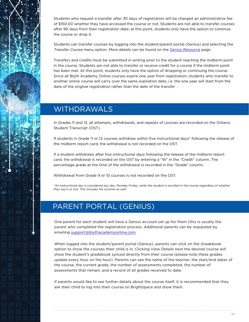<span id="page-19-0"></span>Students who request a transfer after 30 days of registration will be charged an administrative fee of \$150.00 whether they have accessed the course or not. Students are not able to transfer courses after 90 days from their registration date; at this point, students only have the option to continue the course or drop it.

Students can transfer courses by logging into the student/parent portal (Genius) and selecting the Transfer Course menu option. More details can be found on the [Genius Resource p](https://blyth.brightspace.com/d2l/lor/viewer/view_private.d2l?ou=6606&loIdentId=127)age.

Transfers and credits must be submitted in writing prior to the student reaching the midterm point in the course. Students are not able to transfer or receive credit for a course if the midterm point has been met. At this point, students only have the option of dropping or continuing the course. Since all Blyth Academy Online courses expire one year from registration, students who transfer to another online course will carry over the same expiration date, i.e. the one year will start from the date of the original registration rather than the date of the transfer .

### WITHDRAWALS

In Grades 11 and 12, all attempts, withdrawals, and repeats of courses are recorded on the Ontario Student Transcript (OST).

If students in Grade 11 or 12 courses withdraw within five instructional days\* following the release of the midterm report card, the withdrawal is not recorded on the OST.

If a student withdraws after five instructional days following the release of the midterm report card, the withdrawal is recorded on the OST by entering a "W" in the "Credit" column. The percentage grade at the time of the withdrawal is recorded in the "Grade" column.

Withdrawal from Grade 9 or 10 courses is not recorded on the OST.

\*An instructional day is considered any day, Monday-Friday, while the student is enrolled in the course regardless of whether they log in or not. This includes the summer as well.

### PARENT PORTAL (GENIUS)

One parent for each student will have a Genius account set up for them (this is usually the parent who completed the registration process. Additional parents can be requested by emailing [support@blythacademyonline.com.](mailto:support%40blythacademyonline.com?subject=)

When logged into the student/parent portal (Genius), parents can click on the Gradebook option to show the courses their child is in. Clicking View Details next the desired course will show the student's gradebook synced directly from their course (please note these grades update every hour on the hour). Parents can see the name of the teacher, the start/end dates of the course, the current grade, the number of assessments completed, the number of assessments that remain, and a record of all grades received to date.

If parents would like to see further details about the course itself, it is recommended that they ask their child to log into their course on Brightspace and show them.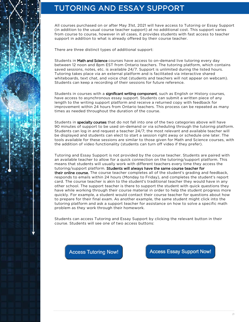# <span id="page-20-0"></span>TUTORING AND ESSAY SUPPORT

All courses purchased on or after May 31st, 2021 will have access to Tutoring or Essay Support (in addition to the usual course teacher support) at no additional cost. This support varies from course to course, however in all cases, it provides students with fast access to teacher support in addition to what is already offered by their course teacher.

There are three distinct types of additional support:

Students in Math and Science courses have access to on-demand live tutoring every day between 12 noon and 8pm EST from Ontario teachers. The tutoring platform, which contains saved sessions, notes, etc. is available 24/7. Support is unlimited during the listed hours. Tutoring takes place via an external platform and is facilitated via interactive shared whiteboards, text chat, and voice chat (students and teachers will not appear on webcam). Students can keep a recording of their sessions for future reference.

Students in courses with a significant writing component, such as English or History courses, have access to asynchronous essay support. Students can submit a written piece of any length to the writing support platform and receive a returned copy with feedback for improvement within 24 hours from Ontario teachers. This process can be repeated as many times as needed throughout the duration of the course.

Students in specialty courses that do not fall into one of the two categories above will have 90 minutes of support to be used on-demand or via scheduling through the tutoring platform. Students can log in and request a teacher 24/7; the most relevant and available teacher will be displayed and students can elect to start a session right away or schedule one later. The tools available for these sessions are similar to those given for Math and Science courses, with the addition of video functionality (students can turn off video if they prefer).

Tutoring and Essay Support is not provided by the course teacher. Students are paired with an available teacher to allow for a quick connection on the tutoring/support platform. This means that students will usually work with different teachers every time they access the tutoring/support platform. Students will always have the same course teacher for their online course. The course teacher completes all of the student's grading and feedback, responds to emails within 24 hours (Monday to Friday), and completes the student's report card. The course teacher is akin to the student's traditional teacher they would have in any other school. The support teacher is there to support the student with quick questions they have while working through their course material in order to help the student progress more quickly. For example, a student would contact their course teacher for questions about how to prepare for their final exam. As another example, the same student might click into the tutoring platform and ask a support teacher for assistance on how to solve a specific math problem as they work through their homework.

Students can access Tutoring and Essay Support by clicking the relevant button in their course. Students will see one of two access buttons:

**Access Tutoring Now!** 

**Access Essay Support Now!**